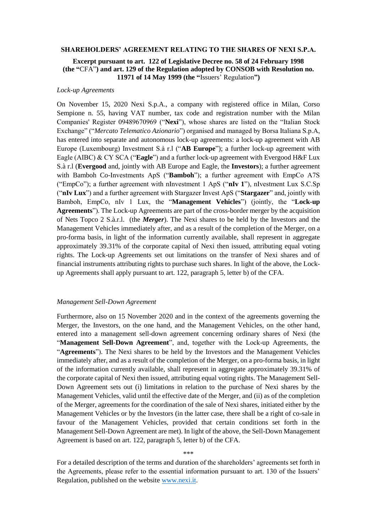#### **SHAREHOLDERS' AGREEMENT RELATING TO THE SHARES OF NEXI S.P.A.**

# **Excerpt pursuant to art. 122 of Legislative Decree no. 58 of 24 February 1998 (the "**CFA"**) and art. 129 of the Regulation adopted by CONSOB with Resolution no. 11971 of 14 May 1999 (the "**Issuers' Regulation**")**

# *Lock-up Agreements*

On November 15, 2020 Nexi S.p.A., a company with registered office in Milan, Corso Sempione n. 55, having VAT number, tax code and registration number with the Milan Companies' Register 09489670969 ("**Nexi**"), whose shares are listed on the "Italian Stock Exchange" ("*Mercato Telematico Azionario*") organised and managed by Borsa Italiana S.p.A, has entered into separate and autonomous lock-up agreements: a lock-up agreement with AB Europe (Luxembourg) Investment S.à r.l ("**AB Europe**"); a further lock-up agreement with Eagle (AIBC) & CY SCA ("**Eagle**") and a further lock-up agreement with Evergood H&F Lux S.à r.l (**Evergood** and, jointly with AB Europe and Eagle, the **Investors**); a further agreement with Bamboh Co-Investments ApS ("**Bamboh**"); a further agreement with EmpCo A7S ("EmpCo"); a further agreement with nInvestment 1 ApS ("**nIv 1**"), nIvestment Lux S.C.Sp ("**nIv Lux**") and a further agreement with Stargazer Invest ApS ("**Stargazer**" and, jointly with Bamboh, EmpCo, nIv 1 Lux, the "**Management Vehicles**") (jointly, the "**Lock-up Agreements**"). The Lock-up Agreements are part of the cross-border merger by the acquisition of Nets Topco 2 S.à.r.l. (the *Merger*). The Nexi shares to be held by the Investors and the Management Vehicles immediately after, and as a result of the completion of the Merger, on a pro-forma basis, in light of the information currently available, shall represent in aggregate approximately 39.31% of the corporate capital of Nexi then issued, attributing equal voting rights. The Lock-up Agreements set out limitations on the transfer of Nexi shares and of financial instruments attributing rights to purchase such shares. In light of the above, the Lockup Agreements shall apply pursuant to art. 122, paragraph 5, letter b) of the CFA.

### *Management Sell-Down Agreement*

Furthermore, also on 15 November 2020 and in the context of the agreements governing the Merger, the Investors, on the one hand, and the Management Vehicles, on the other hand, entered into a management sell-down agreement concerning ordinary shares of Nexi (the "**Management Sell-Down Agreement**", and, together with the Lock-up Agreements, the "**Agreements**"). The Nexi shares to be held by the Investors and the Management Vehicles immediately after, and as a result of the completion of the Merger, on a pro-forma basis, in light of the information currently available, shall represent in aggregate approximately 39.31% of the corporate capital of Nexi then issued, attributing equal voting rights. The Management Sell-Down Agreement sets out (i) limitations in relation to the purchase of Nexi shares by the Management Vehicles, valid until the effective date of the Merger, and (ii) as of the completion of the Merger, agreements for the coordination of the sale of Nexi shares, initiated either by the Management Vehicles or by the Investors (in the latter case, there shall be a right of co-sale in favour of the Management Vehicles, provided that certain conditions set forth in the Management Sell-Down Agreement are met). In light of the above, the Sell-Down Management Agreement is based on art. 122, paragraph 5, letter b) of the CFA.

### \*\*\*

For a detailed description of the terms and duration of the shareholders' agreements set forth in the Agreements, please refer to the essential information pursuant to art. 130 of the Issuers' Regulation, published on the website [www.nexi.it.](http://www.nexi.it/)